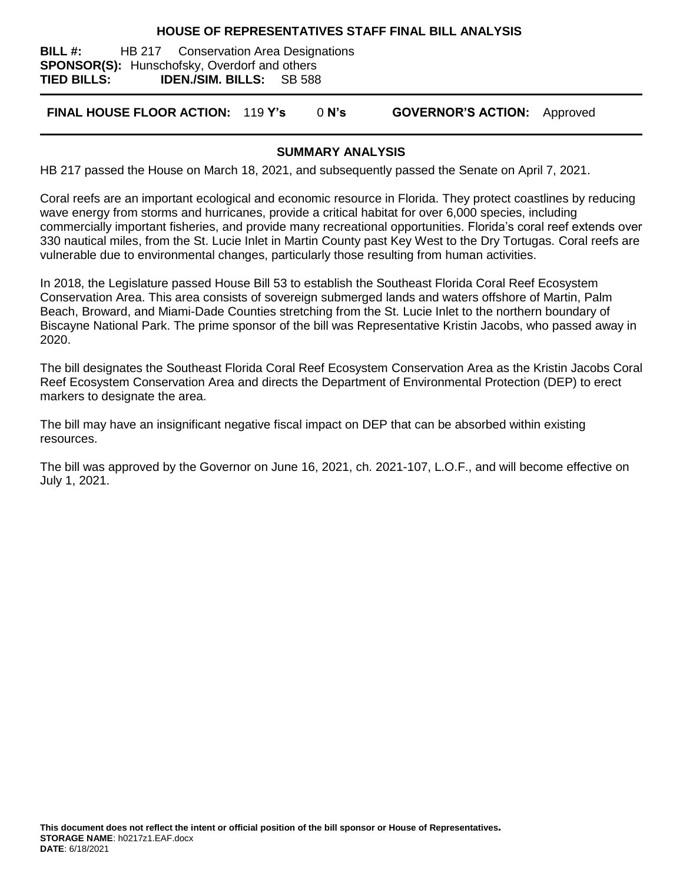#### **HOUSE OF REPRESENTATIVES STAFF FINAL BILL ANALYSIS**

**BILL #:** HB 217 Conservation Area Designations **SPONSOR(S):** Hunschofsky, Overdorf and others **TIED BILLS: IDEN./SIM. BILLS:** SB 588

**FINAL HOUSE FLOOR ACTION:** 119 **Y's** 0 **N's GOVERNOR'S ACTION:** Approved

### **SUMMARY ANALYSIS**

HB 217 passed the House on March 18, 2021, and subsequently passed the Senate on April 7, 2021.

Coral reefs are an important ecological and economic resource in Florida. They protect coastlines by reducing wave energy from storms and hurricanes, provide a critical habitat for over 6,000 species, including commercially important fisheries, and provide many recreational opportunities. Florida's coral reef extends over 330 nautical miles, from the St. Lucie Inlet in Martin County past Key West to the Dry Tortugas. Coral reefs are vulnerable due to environmental changes, particularly those resulting from human activities.

In 2018, the Legislature passed House Bill 53 to establish the Southeast Florida Coral Reef Ecosystem Conservation Area. This area consists of sovereign submerged lands and waters offshore of Martin, Palm Beach, Broward, and Miami-Dade Counties stretching from the St. Lucie Inlet to the northern boundary of Biscayne National Park. The prime sponsor of the bill was Representative Kristin Jacobs, who passed away in 2020.

The bill designates the Southeast Florida Coral Reef Ecosystem Conservation Area as the Kristin Jacobs Coral Reef Ecosystem Conservation Area and directs the Department of Environmental Protection (DEP) to erect markers to designate the area.

The bill may have an insignificant negative fiscal impact on DEP that can be absorbed within existing resources.

The bill was approved by the Governor on June 16, 2021, ch. 2021-107, L.O.F., and will become effective on July 1, 2021.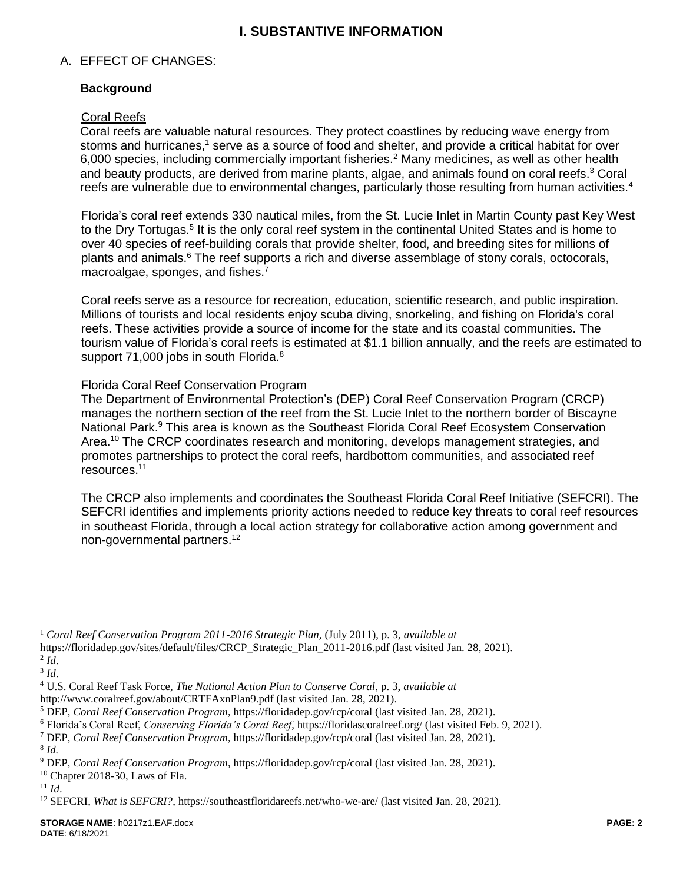# **I. SUBSTANTIVE INFORMATION**

### A. EFFECT OF CHANGES:

## **Background**

#### Coral Reefs

Coral reefs are valuable natural resources. They protect coastlines by reducing wave energy from storms and hurricanes,<sup>1</sup> serve as a source of food and shelter, and provide a critical habitat for over 6,000 species, including commercially important fisheries.<sup>2</sup> Many medicines, as well as other health and beauty products, are derived from marine plants, algae, and animals found on coral reefs. <sup>3</sup> Coral reefs are vulnerable due to environmental changes, particularly those resulting from human activities.<sup>4</sup>

Florida's coral reef extends 330 nautical miles, from the St. Lucie Inlet in Martin County past Key West to the Dry Tortugas.<sup>5</sup> It is the only coral reef system in the continental United States and is home to over 40 species of reef-building corals that provide shelter, food, and breeding sites for millions of plants and animals.<sup>6</sup> The reef supports a rich and diverse assemblage of stony corals, octocorals, macroalgae, sponges, and fishes.<sup>7</sup>

Coral reefs serve as a resource for recreation, education, scientific research, and public inspiration. Millions of tourists and local residents enjoy scuba diving, snorkeling, and fishing on Florida's coral reefs. These activities provide a source of income for the state and its coastal communities. The tourism value of Florida's coral reefs is estimated at \$1.1 billion annually, and the reefs are estimated to support 71,000 jobs in south Florida.<sup>8</sup>

### Florida Coral Reef Conservation Program

The Department of Environmental Protection's (DEP) Coral Reef Conservation Program (CRCP) manages the northern section of the reef from the St. Lucie Inlet to the northern border of Biscayne National Park.<sup>9</sup> This area is known as the Southeast Florida Coral Reef Ecosystem Conservation Area.<sup>10</sup> The CRCP coordinates research and monitoring, develops management strategies, and promotes partnerships to protect the coral reefs, hardbottom communities, and associated reef resources. 11

The CRCP also implements and coordinates the Southeast Florida Coral Reef Initiative (SEFCRI). The SEFCRI identifies and implements priority actions needed to reduce key threats to coral reef resources in southeast Florida, through a local action strategy for collaborative action among government and non-governmental partners.<sup>12</sup>

 $\overline{a}$ 

<sup>7</sup> DEP, *Coral Reef Conservation Program*, https://floridadep.gov/rcp/coral (last visited Jan. 28, 2021).

<sup>1</sup> *Coral Reef Conservation Program 2011-2016 Strategic Plan,* (July 2011), p. 3, *available at*

https://floridadep.gov/sites/default/files/CRCP\_Strategic\_Plan\_2011-2016.pdf (last visited Jan. 28, 2021). 2 *Id*.

<sup>3</sup> *Id*.

<sup>4</sup> U.S. Coral Reef Task Force, *The National Action Plan to Conserve Coral*, p. 3, *available at*

http://www.coralreef.gov/about/CRTFAxnPlan9.pdf (last visited Jan. 28, 2021).

<sup>5</sup> DEP, *Coral Reef Conservation Program*, https://floridadep.gov/rcp/coral (last visited Jan. 28, 2021).

<sup>6</sup> Florida's Coral Reef, *Conserving Florida's Coral Reef*, https://floridascoralreef.org/ (last visited Feb. 9, 2021).

<sup>8</sup> *Id.* 

<sup>9</sup> DEP, *Coral Reef Conservation Program*, https://floridadep.gov/rcp/coral (last visited Jan. 28, 2021).

 $10$  Chapter 2018-30, Laws of Fla.

 $11$  *Id.* 

<sup>&</sup>lt;sup>12</sup> SEFCRI, *What is SEFCRI?*, https://southeastfloridareefs.net/who-we-are/ (last visited Jan. 28, 2021).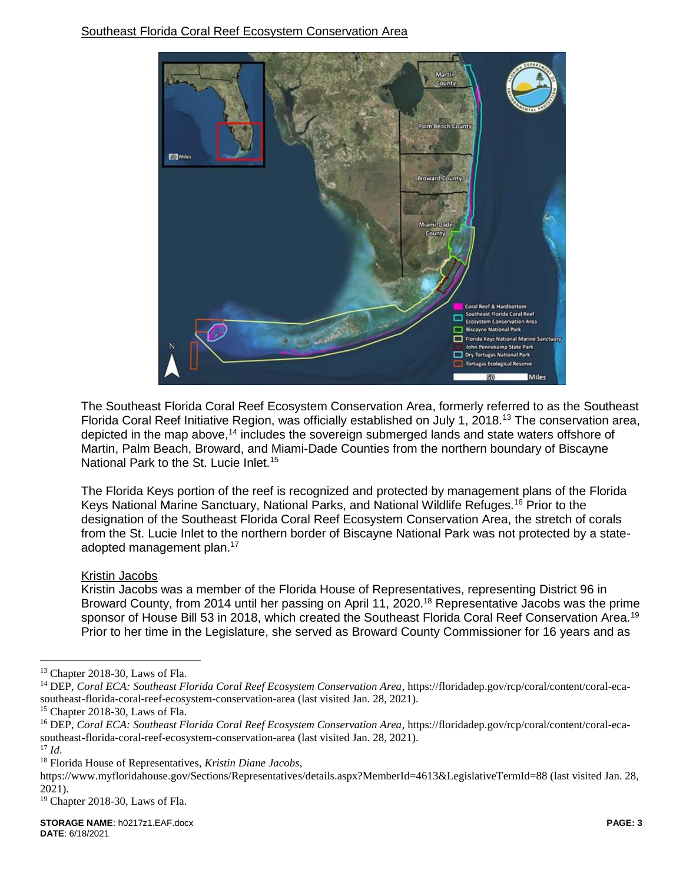

The Southeast Florida Coral Reef Ecosystem Conservation Area, formerly referred to as the Southeast Florida Coral Reef Initiative Region, was officially established on July 1, 2018.<sup>13</sup> The conservation area, depicted in the map above,<sup>14</sup> includes the sovereign submerged lands and state waters offshore of Martin, Palm Beach, Broward, and Miami-Dade Counties from the northern boundary of Biscayne National Park to the St. Lucie Inlet.<sup>15</sup>

The Florida Keys portion of the reef is recognized and protected by management plans of the Florida Keys National Marine Sanctuary, National Parks, and National Wildlife Refuges.<sup>16</sup> Prior to the designation of the Southeast Florida Coral Reef Ecosystem Conservation Area, the stretch of corals from the St. Lucie Inlet to the northern border of Biscayne National Park was not protected by a stateadopted management plan.<sup>17</sup>

Kristin Jacobs

Kristin Jacobs was a member of the Florida House of Representatives, representing District 96 in Broward County, from 2014 until her passing on April 11, 2020.<sup>18</sup> Representative Jacobs was the prime sponsor of House Bill 53 in 2018, which created the Southeast Florida Coral Reef Conservation Area.<sup>19</sup> Prior to her time in the Legislature, she served as Broward County Commissioner for 16 years and as

 $\overline{a}$ 

<sup>13</sup> Chapter 2018-30, Laws of Fla.

<sup>14</sup> DEP, *Coral ECA: Southeast Florida Coral Reef Ecosystem Conservation Area*, https://floridadep.gov/rcp/coral/content/coral-ecasoutheast-florida-coral-reef-ecosystem-conservation-area (last visited Jan. 28, 2021).

<sup>15</sup> Chapter 2018-30, Laws of Fla.

<sup>16</sup> DEP, *Coral ECA: Southeast Florida Coral Reef Ecosystem Conservation Area*, https://floridadep.gov/rcp/coral/content/coral-ecasoutheast-florida-coral-reef-ecosystem-conservation-area (last visited Jan. 28, 2021).

<sup>17</sup> *Id*.

<sup>18</sup> Florida House of Representatives, *Kristin Diane Jacobs*,

https://www.myfloridahouse.gov/Sections/Representatives/details.aspx?MemberId=4613&LegislativeTermId=88 (last visited Jan. 28, 2021).

<sup>19</sup> Chapter 2018-30, Laws of Fla.